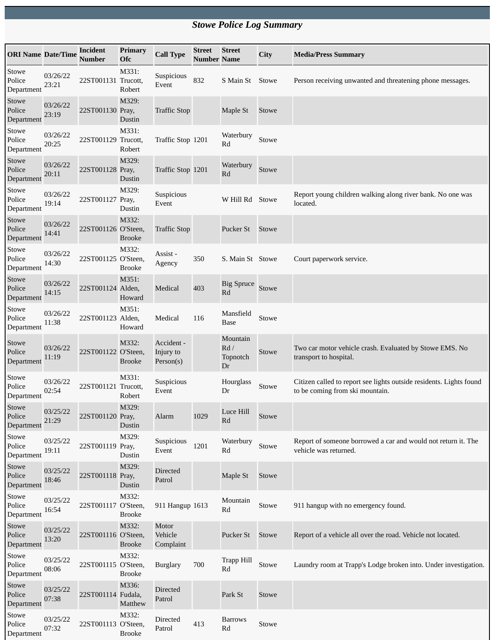## *Stowe Police Log Summary*

| <b>ORI Name Date/Time</b>     |                   | <b>Incident</b><br><b>Number</b> | <b>Primary</b><br><b>Ofc</b> | <b>Call Type</b>                     | <b>Street</b><br><b>Number Name</b> | <b>Street</b>                     | City  | <b>Media/Press Summary</b>                                                                             |
|-------------------------------|-------------------|----------------------------------|------------------------------|--------------------------------------|-------------------------------------|-----------------------------------|-------|--------------------------------------------------------------------------------------------------------|
| Stowe<br>Police<br>Department | 03/26/22<br>23:21 | 22ST001131 Trucott,              | M331:<br>Robert              | Suspicious<br>Event                  | 832                                 | S Main St                         | Stowe | Person receiving unwanted and threatening phone messages.                                              |
| Stowe<br>Police<br>Department | 03/26/22<br>23:19 | 22ST001130 Pray,                 | M329:<br>Dustin              | <b>Traffic Stop</b>                  |                                     | Maple St                          | Stowe |                                                                                                        |
| Stowe<br>Police<br>Department | 03/26/22<br>20:25 | 22ST001129 Trucott,              | M331:<br>Robert              | Traffic Stop 1201                    |                                     | Waterbury<br>Rd                   | Stowe |                                                                                                        |
| Stowe<br>Police<br>Department | 03/26/22<br>20:11 | 22ST001128 Pray,                 | M329:<br>Dustin              | Traffic Stop 1201                    |                                     | Waterbury<br>Rd                   | Stowe |                                                                                                        |
| Stowe<br>Police<br>Department | 03/26/22<br>19:14 | 22ST001127 Pray,                 | M329:<br>Dustin              | Suspicious<br>Event                  |                                     | W Hill Rd                         | Stowe | Report young children walking along river bank. No one was<br>located.                                 |
| Stowe<br>Police<br>Department | 03/26/22<br>14:41 | 22ST001126 O'Steen,              | M332:<br><b>Brooke</b>       | <b>Traffic Stop</b>                  |                                     | Pucker St                         | Stowe |                                                                                                        |
| Stowe<br>Police<br>Department | 03/26/22<br>14:30 | 22ST001125 O'Steen,              | M332:<br><b>Brooke</b>       | Assist -<br>Agency                   | 350                                 | S. Main St Stowe                  |       | Court paperwork service.                                                                               |
| Stowe<br>Police<br>Department | 03/26/22<br>14:15 | 22ST001124 Alden,                | M351:<br>Howard              | Medical                              | 403                                 | <b>Big Spruce</b><br>Rd           | Stowe |                                                                                                        |
| Stowe<br>Police<br>Department | 03/26/22<br>11:38 | 22ST001123 Alden,                | M351:<br>Howard              | Medical                              | 116                                 | Mansfield<br><b>Base</b>          | Stowe |                                                                                                        |
| Stowe<br>Police<br>Department | 03/26/22<br>11:19 | 22ST001122 O'Steen,              | M332:<br><b>Brooke</b>       | Accident -<br>Injury to<br>Person(s) |                                     | Mountain<br>Rd/<br>Topnotch<br>Dr | Stowe | Two car motor vehicle crash. Evaluated by Stowe EMS. No<br>transport to hospital.                      |
| Stowe<br>Police<br>Department | 03/26/22<br>02:54 | 22ST001121 Trucott,              | M331:<br>Robert              | Suspicious<br>Event                  |                                     | Hourglass<br>Dr                   | Stowe | Citizen called to report see lights outside residents. Lights found<br>to be coming from ski mountain. |
| Stowe<br>Police<br>Department | 03/25/22<br>21:29 | 22ST001120 Pray,                 | M329:<br>Dustin              | Alarm                                | 1029                                | Luce Hill<br>Rd                   | Stowe |                                                                                                        |
| Stowe<br>Police<br>Department | 03/25/22<br>19:11 | 22ST001119 Pray,                 | M329:<br>Dustin              | Suspicious<br>Event                  | 1201                                | Waterbury<br>Rd                   | Stowe | Report of someone borrowed a car and would not return it. The<br>vehicle was returned.                 |
| Stowe<br>Police<br>Department | 03/25/22<br>18:46 | 22ST001118 Pray,                 | M329:<br>Dustin              | <b>Directed</b><br>Patrol            |                                     | Maple St                          | Stowe |                                                                                                        |
| Stowe<br>Police<br>Department | 03/25/22<br>16:54 | 22ST001117 O'Steen,              | M332:<br><b>Brooke</b>       | 911 Hangup 1613                      |                                     | Mountain<br>Rd                    | Stowe | 911 hangup with no emergency found.                                                                    |
| Stowe<br>Police<br>Department | 03/25/22<br>13:20 | 22ST001116 O'Steen,              | M332:<br><b>Brooke</b>       | Motor<br>Vehicle<br>Complaint        |                                     | Pucker St                         | Stowe | Report of a vehicle all over the road. Vehicle not located.                                            |
| Stowe<br>Police<br>Department | 03/25/22<br>08:06 | 22ST001115 O'Steen,              | M332:<br><b>Brooke</b>       | <b>Burglary</b>                      | 700                                 | <b>Trapp Hill</b><br>Rd           | Stowe | Laundry room at Trapp's Lodge broken into. Under investigation.                                        |
| Stowe<br>Police<br>Department | 03/25/22<br>07:38 | 22ST001114 Fudala,               | M336:<br>Matthew             | <b>Directed</b><br>Patrol            |                                     | Park St                           | Stowe |                                                                                                        |
| Stowe<br>Police<br>Department | 03/25/22<br>07:32 | 22ST001113 O'Steen,              | M332:<br><b>Brooke</b>       | Directed<br>Patrol                   | 413                                 | <b>Barrows</b><br>Rd              | Stowe |                                                                                                        |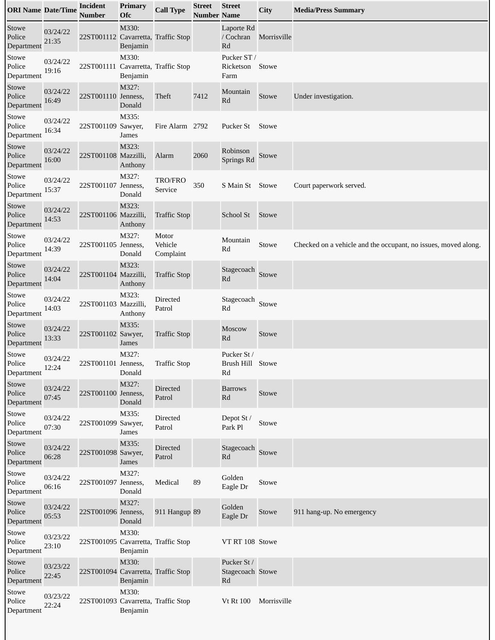| <b>ORI Name Date/Time</b>     |                   | <b>Incident</b><br><b>Number</b>    | Primary<br>Ofc    | <b>Call Type</b>              | <b>Street</b><br>Number Name | <b>Street</b>                         | City        | <b>Media/Press Summary</b>                                     |
|-------------------------------|-------------------|-------------------------------------|-------------------|-------------------------------|------------------------------|---------------------------------------|-------------|----------------------------------------------------------------|
| Stowe<br>Police<br>Department | 03/24/22<br>21:35 | 22ST001112 Cavarretta, Traffic Stop | M330:<br>Benjamin |                               |                              | Laporte Rd<br>/ Cochran<br>Rd         | Morrisville |                                                                |
| Stowe<br>Police<br>Department | 03/24/22<br>19:16 | 22ST001111 Cavarretta, Traffic Stop | M330:<br>Benjamin |                               |                              | Pucker ST /<br>Ricketson<br>Farm      | Stowe       |                                                                |
| Stowe<br>Police<br>Department | 03/24/22<br>16:49 | 22ST001110 Jenness,                 | M327:<br>Donald   | Theft                         | 7412                         | Mountain<br>Rd                        | Stowe       | Under investigation.                                           |
| Stowe<br>Police<br>Department | 03/24/22<br>16:34 | 22ST001109 Sawyer,                  | M335:<br>James    | Fire Alarm 2792               |                              | Pucker St                             | Stowe       |                                                                |
| Stowe<br>Police<br>Department | 03/24/22<br>16:00 | 22ST001108 Mazzilli,                | M323:<br>Anthony  | Alarm                         | 2060                         | Robinson<br>Springs Rd                | Stowe       |                                                                |
| Stowe<br>Police<br>Department | 03/24/22<br>15:37 | 22ST001107 Jenness,                 | M327:<br>Donald   | <b>TRO/FRO</b><br>Service     | 350                          | S Main St Stowe                       |             | Court paperwork served.                                        |
| Stowe<br>Police<br>Department | 03/24/22<br>14:53 | 22ST001106 Mazzilli,                | M323:<br>Anthony  | <b>Traffic Stop</b>           |                              | School St                             | Stowe       |                                                                |
| Stowe<br>Police<br>Department | 03/24/22<br>14:39 | 22ST001105 Jenness,                 | M327:<br>Donald   | Motor<br>Vehicle<br>Complaint |                              | Mountain<br>Rd                        | Stowe       | Checked on a vehicle and the occupant, no issues, moved along. |
| Stowe<br>Police<br>Department | 03/24/22<br>14:04 | 22ST001104 Mazzilli,                | M323:<br>Anthony  | <b>Traffic Stop</b>           |                              | Stagecoach<br>Rd                      | Stowe       |                                                                |
| Stowe<br>Police<br>Department | 03/24/22<br>14:03 | 22ST001103 Mazzilli,                | M323:<br>Anthony  | Directed<br>Patrol            |                              | Stagecoach<br>Rd                      | Stowe       |                                                                |
| Stowe<br>Police<br>Department | 03/24/22<br>13:33 | 22ST001102 Sawyer,                  | M335:<br>James    | <b>Traffic Stop</b>           |                              | <b>Moscow</b><br>Rd                   | Stowe       |                                                                |
| Stowe<br>Police<br>Department | 03/24/22<br>12:24 | 22ST001101 Jenness,                 | M327:<br>Donald   | <b>Traffic Stop</b>           |                              | Pucker St/<br>Brush Hill Stowe<br>Rd  |             |                                                                |
| Stowe<br>Police<br>Department | 03/24/22<br>07:45 | 22ST001100 Jenness,                 | M327:<br>Donald   | <b>Directed</b><br>Patrol     |                              | <b>Barrows</b><br>Rd                  | Stowe       |                                                                |
| Stowe<br>Police<br>Department | 03/24/22<br>07:30 | 22ST001099 Sawyer,                  | M335:<br>James    | Directed<br>Patrol            |                              | Depot St /<br>Park Pl                 | Stowe       |                                                                |
| Stowe<br>Police<br>Department | 03/24/22<br>06:28 | 22ST001098 Sawyer,                  | M335:<br>James    | <b>Directed</b><br>Patrol     |                              | Stagecoach<br>Rd                      | Stowe       |                                                                |
| Stowe<br>Police<br>Department | 03/24/22<br>06:16 | 22ST001097 Jenness,                 | M327:<br>Donald   | Medical                       | 89                           | Golden<br>Eagle Dr                    | Stowe       |                                                                |
| Stowe<br>Police<br>Department | 03/24/22<br>05:53 | 22ST001096 Jenness,                 | M327:<br>Donald   | 911 Hangup 89                 |                              | Golden<br>Eagle Dr                    | Stowe       | 911 hang-up. No emergency                                      |
| Stowe<br>Police<br>Department | 03/23/22<br>23:10 | 22ST001095 Cavarretta, Traffic Stop | M330:<br>Benjamin |                               |                              | VT RT 108 Stowe                       |             |                                                                |
| Stowe<br>Police<br>Department | 03/23/22<br>22:45 | 22ST001094 Cavarretta, Traffic Stop | M330:<br>Benjamin |                               |                              | Pucker St /<br>Stagecoach Stowe<br>Rd |             |                                                                |
| Stowe<br>Police<br>Department | 03/23/22<br>22:24 | 22ST001093 Cavarretta, Traffic Stop | M330:<br>Benjamin |                               |                              | <b>Vt Rt 100</b>                      | Morrisville |                                                                |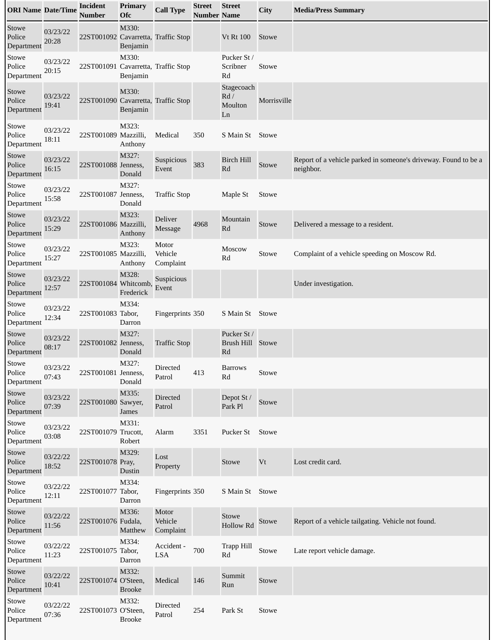| <b>ORI Name Date/Time</b>     |                   | <b>Incident</b><br><b>Number</b>    | Primary<br>Ofc         | <b>Call Type</b>              | <b>Street</b><br><b>Number Name</b> | <b>Street</b>                            | City        | <b>Media/Press Summary</b>                                                   |
|-------------------------------|-------------------|-------------------------------------|------------------------|-------------------------------|-------------------------------------|------------------------------------------|-------------|------------------------------------------------------------------------------|
| Stowe<br>Police<br>Department | 03/23/22<br>20:28 | 22ST001092 Cavarretta, Traffic Stop | M330:<br>Benjamin      |                               |                                     | <b>Vt Rt 100</b>                         | Stowe       |                                                                              |
| Stowe<br>Police<br>Department | 03/23/22<br>20:15 | 22ST001091 Cavarretta, Traffic Stop | M330:<br>Benjamin      |                               |                                     | Pucker St /<br>Scribner<br>Rd            | Stowe       |                                                                              |
| Stowe<br>Police<br>Department | 03/23/22<br>19:41 | 22ST001090 Cavarretta, Traffic Stop | M330:<br>Benjamin      |                               |                                     | Stagecoach<br>Rd/<br>Moulton<br>Ln       | Morrisville |                                                                              |
| Stowe<br>Police<br>Department | 03/23/22<br>18:11 | 22ST001089 Mazzilli,                | M323:<br>Anthony       | Medical                       | 350                                 | S Main St Stowe                          |             |                                                                              |
| Stowe<br>Police<br>Department | 03/23/22<br>16:15 | 22ST001088 Jenness,                 | M327:<br>Donald        | Suspicious<br>Event           | 383                                 | <b>Birch Hill</b><br>Rd                  | Stowe       | Report of a vehicle parked in someone's driveway. Found to be a<br>neighbor. |
| Stowe<br>Police<br>Department | 03/23/22<br>15:58 | 22ST001087 Jenness,                 | M327:<br>Donald        | <b>Traffic Stop</b>           |                                     | Maple St                                 | Stowe       |                                                                              |
| Stowe<br>Police<br>Department | 03/23/22<br>15:29 | 22ST001086 Mazzilli,                | M323:<br>Anthony       | Deliver<br>Message            | 4968                                | Mountain<br>Rd                           | Stowe       | Delivered a message to a resident.                                           |
| Stowe<br>Police<br>Department | 03/23/22<br>15:27 | 22ST001085 Mazzilli,                | M323:<br>Anthony       | Motor<br>Vehicle<br>Complaint |                                     | Moscow<br>Rd                             | Stowe       | Complaint of a vehicle speeding on Moscow Rd.                                |
| Stowe<br>Police<br>Department | 03/23/22<br>12:57 | 22ST001084 Whitcomb,                | M328:<br>Frederick     | Suspicious<br>Event           |                                     |                                          |             | Under investigation.                                                         |
| Stowe<br>Police<br>Department | 03/23/22<br>12:34 | 22ST001083 Tabor,                   | M334:<br>Darron        | Fingerprints 350              |                                     | S Main St Stowe                          |             |                                                                              |
| Stowe<br>Police<br>Department | 03/23/22<br>08:17 | 22ST001082 Jenness,                 | M327:<br>Donald        | <b>Traffic Stop</b>           |                                     | Pucker St /<br>Brush Hill Stowe<br>Rd    |             |                                                                              |
| Stowe<br>Police<br>Department | 03/23/22<br>07:43 | 22ST001081 Jenness,                 | M327:<br>Donald        | Directed<br>Patrol            | 413                                 | <b>Barrows</b><br>$\mathbf{R}\mathbf{d}$ | Stowe       |                                                                              |
| Stowe<br>Police<br>Department | 03/23/22<br>07:39 | 22ST001080 Sawyer,                  | M335:<br>James         | <b>Directed</b><br>Patrol     |                                     | Depot St /<br>Park Pl                    | Stowe       |                                                                              |
| Stowe<br>Police<br>Department | 03/23/22<br>03:08 | 22ST001079 Trucott,                 | M331:<br>Robert        | Alarm                         | 3351                                | Pucker St                                | Stowe       |                                                                              |
| Stowe<br>Police<br>Department | 03/22/22<br>18:52 | 22ST001078 Pray,                    | M329:<br>Dustin        | Lost<br>Property              |                                     | Stowe                                    | Vt          | Lost credit card.                                                            |
| Stowe<br>Police<br>Department | 03/22/22<br>12:11 | 22ST001077 Tabor,                   | M334:<br>Darron        | Fingerprints 350              |                                     | S Main St Stowe                          |             |                                                                              |
| Stowe<br>Police<br>Department | 03/22/22<br>11:56 | 22ST001076 Fudala,                  | M336:<br>Matthew       | Motor<br>Vehicle<br>Complaint |                                     | Stowe<br><b>Hollow Rd</b>                | Stowe       | Report of a vehicle tailgating. Vehicle not found.                           |
| Stowe<br>Police<br>Department | 03/22/22<br>11:23 | 22ST001075 Tabor,                   | M334:<br>Darron        | Accident -<br>LSA             | 700                                 | Trapp Hill<br>Rd                         | Stowe       | Late report vehicle damage.                                                  |
| Stowe<br>Police<br>Department | 03/22/22<br>10:41 | 22ST001074 O'Steen,                 | M332:<br><b>Brooke</b> | Medical                       | 146                                 | Summit<br>Run                            | Stowe       |                                                                              |
| Stowe<br>Police<br>Department | 03/22/22<br>07:36 | 22ST001073 O'Steen,                 | M332:<br><b>Brooke</b> | Directed<br>Patrol            | 254                                 | Park St                                  | Stowe       |                                                                              |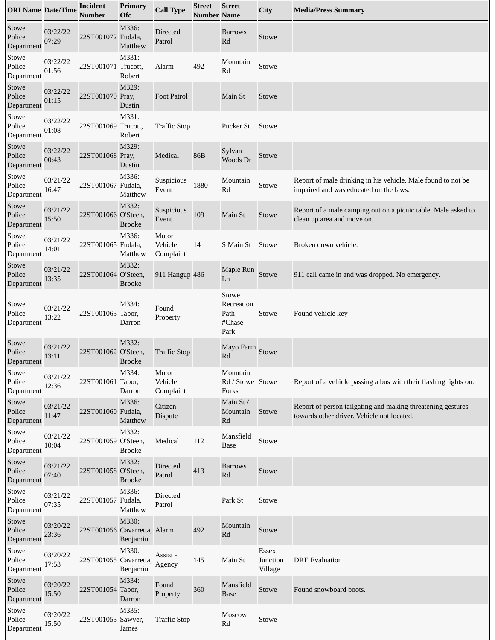| <b>ORI Name Date/Time</b>     |                   | <b>Incident</b><br><b>Number</b> | <b>Primary</b><br><b>Ofc</b> | <b>Call Type</b>              | <b>Street</b><br><b>Number Name</b> | <b>Street</b>                                 | City                                | <b>Media/Press Summary</b>                                                                                |
|-------------------------------|-------------------|----------------------------------|------------------------------|-------------------------------|-------------------------------------|-----------------------------------------------|-------------------------------------|-----------------------------------------------------------------------------------------------------------|
| Stowe<br>Police<br>Department | 03/22/22<br>07:29 | 22ST001072 Fudala,               | M336:<br>Matthew             | Directed<br>Patrol            |                                     | <b>Barrows</b><br>Rd                          | Stowe                               |                                                                                                           |
| Stowe<br>Police<br>Department | 03/22/22<br>01:56 | 22ST001071 Trucott,              | M331:<br>Robert              | Alarm                         | 492                                 | Mountain<br>Rd                                | Stowe                               |                                                                                                           |
| Stowe<br>Police<br>Department | 03/22/22<br>01:15 | 22ST001070 Pray,                 | M329:<br>Dustin              | <b>Foot Patrol</b>            |                                     | Main St                                       | Stowe                               |                                                                                                           |
| Stowe<br>Police<br>Department | 03/22/22<br>01:08 | 22ST001069 Trucott,              | M331:<br>Robert              | <b>Traffic Stop</b>           |                                     | Pucker St                                     | Stowe                               |                                                                                                           |
| Stowe<br>Police<br>Department | 03/22/22<br>00:43 | 22ST001068 Pray,                 | M329:<br>Dustin              | Medical                       | 86B                                 | Sylvan<br>Woods Dr                            | Stowe                               |                                                                                                           |
| Stowe<br>Police<br>Department | 03/21/22<br>16:47 | 22ST001067 Fudala,               | M336:<br>Matthew             | Suspicious<br>Event           | 1880                                | Mountain<br>Rd                                | Stowe                               | Report of male drinking in his vehicle. Male found to not be<br>impaired and was educated on the laws.    |
| Stowe<br>Police<br>Department | 03/21/22<br>15:50 | 22ST001066 O'Steen,              | M332:<br><b>Brooke</b>       | <b>Suspicious</b><br>Event    | 109                                 | Main St                                       | Stowe                               | Report of a male camping out on a picnic table. Male asked to<br>clean up area and move on.               |
| Stowe<br>Police<br>Department | 03/21/22<br>14:01 | 22ST001065 Fudala,               | M336:<br>Matthew             | Motor<br>Vehicle<br>Complaint | 14                                  | S Main St                                     | Stowe                               | Broken down vehicle.                                                                                      |
| Stowe<br>Police<br>Department | 03/21/22<br>13:35 | 22ST001064 O'Steen,              | M332:<br><b>Brooke</b>       | 911 Hangup 486                |                                     | Maple Run<br>Ln                               | Stowe                               | 911 call came in and was dropped. No emergency.                                                           |
| Stowe<br>Police<br>Department | 03/21/22<br>13:22 | 22ST001063 Tabor,                | M334:<br>Darron              | Found<br>Property             |                                     | Stowe<br>Recreation<br>Path<br>#Chase<br>Park | Stowe                               | Found vehicle key                                                                                         |
| Stowe<br>Police<br>Department | 03/21/22<br>13:11 | 22ST001062 O'Steen,              | M332:<br><b>Brooke</b>       | <b>Traffic Stop</b>           |                                     | Mayo Farm<br>Rd                               | Stowe                               |                                                                                                           |
| Stowe<br>Police<br>Department | 03/21/22<br>12:36 | 22ST001061 Tabor,                | M334:<br>Darron              | Motor<br>Vehicle<br>Complaint |                                     | Mountain<br>Rd / Stowe Stowe<br>Forks         |                                     | Report of a vehicle passing a bus with their flashing lights on.                                          |
| Stowe<br>Police<br>Department | 03/21/22<br>11:47 | 22ST001060 Fudala,               | M336:<br>Matthew             | Citizen<br><b>Dispute</b>     |                                     | Main St /<br>Mountain<br>Rd                   | Stowe                               | Report of person tailgating and making threatening gestures<br>towards other driver. Vehicle not located. |
| Stowe<br>Police<br>Department | 03/21/22<br>10:04 | 22ST001059 O'Steen,              | M332:<br><b>Brooke</b>       | Medical                       | 112                                 | Mansfield<br><b>Base</b>                      | Stowe                               |                                                                                                           |
| Stowe<br>Police<br>Department | 03/21/22<br>07:40 | 22ST001058 O'Steen,              | M332:<br><b>Brooke</b>       | <b>Directed</b><br>Patrol     | 413                                 | <b>Barrows</b><br>Rd                          | Stowe                               |                                                                                                           |
| Stowe<br>Police<br>Department | 03/21/22<br>07:35 | 22ST001057 Fudala,               | M336:<br>Matthew             | Directed<br>Patrol            |                                     | Park St                                       | Stowe                               |                                                                                                           |
| Stowe<br>Police<br>Department | 03/20/22<br>23:36 | 22ST001056 Cavarretta, Alarm     | M330:<br>Benjamin            |                               | 492                                 | Mountain<br>Rd                                | Stowe                               |                                                                                                           |
| Stowe<br>Police<br>Department | 03/20/22<br>17:53 | 22ST001055 Cavarretta,           | M330:<br>Benjamin            | Assist-<br>Agency             | 145                                 | Main St                                       | <b>Essex</b><br>Junction<br>Village | <b>DRE</b> Evaluation                                                                                     |
| Stowe<br>Police<br>Department | 03/20/22<br>15:50 | 22ST001054 Tabor,                | M334:<br>Darron              | Found<br>Property             | 360                                 | Mansfield<br><b>Base</b>                      | Stowe                               | Found snowboard boots.                                                                                    |
| Stowe<br>Police<br>Department | 03/20/22<br>15:50 | 22ST001053 Sawyer,               | M335:<br>James               | <b>Traffic Stop</b>           |                                     | Moscow<br>Rd                                  | Stowe                               |                                                                                                           |